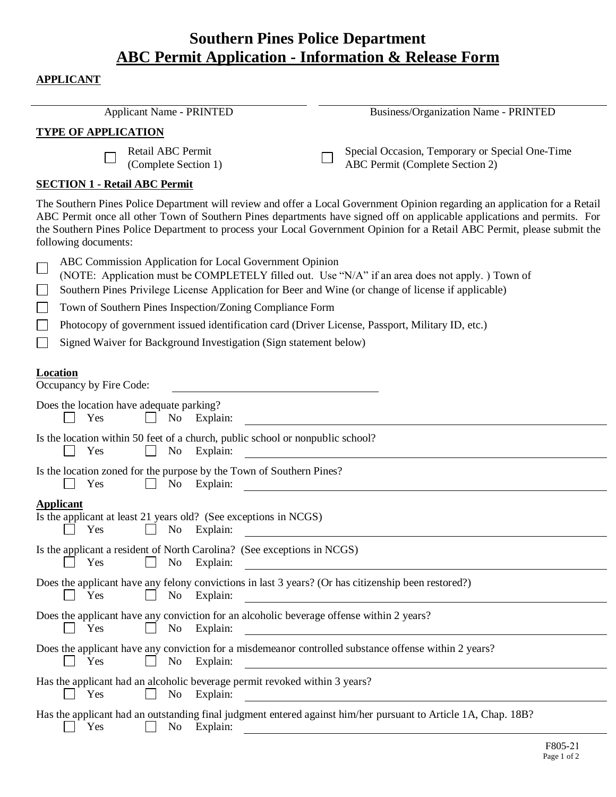## **Southern Pines Police Department ABC Permit Application - Information & Release Form**

## **APPLICANT**

 $\overline{a}$ 

| <b>Applicant Name - PRINTED</b>                                                                                                                                                                                                                                                                                                                           | <b>Business/Organization Name - PRINTED</b>                                                                                                                                                                                                                                                                                                                                         |
|-----------------------------------------------------------------------------------------------------------------------------------------------------------------------------------------------------------------------------------------------------------------------------------------------------------------------------------------------------------|-------------------------------------------------------------------------------------------------------------------------------------------------------------------------------------------------------------------------------------------------------------------------------------------------------------------------------------------------------------------------------------|
| <b>TYPE OF APPLICATION</b>                                                                                                                                                                                                                                                                                                                                |                                                                                                                                                                                                                                                                                                                                                                                     |
| Retail ABC Permit<br>(Complete Section 1)                                                                                                                                                                                                                                                                                                                 | Special Occasion, Temporary or Special One-Time<br>ABC Permit (Complete Section 2)                                                                                                                                                                                                                                                                                                  |
| <b>SECTION 1 - Retail ABC Permit</b>                                                                                                                                                                                                                                                                                                                      |                                                                                                                                                                                                                                                                                                                                                                                     |
| following documents:                                                                                                                                                                                                                                                                                                                                      | The Southern Pines Police Department will review and offer a Local Government Opinion regarding an application for a Retail<br>ABC Permit once all other Town of Southern Pines departments have signed off on applicable applications and permits. For<br>the Southern Pines Police Department to process your Local Government Opinion for a Retail ABC Permit, please submit the |
| ABC Commission Application for Local Government Opinion<br>(NOTE: Application must be COMPLETELY filled out. Use "N/A" if an area does not apply.) Town of<br>Southern Pines Privilege License Application for Beer and Wine (or change of license if applicable)<br>$\Box$<br>Town of Southern Pines Inspection/Zoning Compliance Form<br>$\mathbb{R}^n$ |                                                                                                                                                                                                                                                                                                                                                                                     |
| Photocopy of government issued identification card (Driver License, Passport, Military ID, etc.)                                                                                                                                                                                                                                                          |                                                                                                                                                                                                                                                                                                                                                                                     |
| Signed Waiver for Background Investigation (Sign statement below)                                                                                                                                                                                                                                                                                         |                                                                                                                                                                                                                                                                                                                                                                                     |
| <b>Location</b><br>Occupancy by Fire Code:                                                                                                                                                                                                                                                                                                                |                                                                                                                                                                                                                                                                                                                                                                                     |
| Does the location have adequate parking?<br>N <sub>o</sub><br>Explain:<br>Yes                                                                                                                                                                                                                                                                             |                                                                                                                                                                                                                                                                                                                                                                                     |
| Is the location within 50 feet of a church, public school or nonpublic school?<br>Explain:<br>Yes<br>No                                                                                                                                                                                                                                                   |                                                                                                                                                                                                                                                                                                                                                                                     |
| Is the location zoned for the purpose by the Town of Southern Pines?<br>Yes<br>N <sub>0</sub><br>Explain:                                                                                                                                                                                                                                                 |                                                                                                                                                                                                                                                                                                                                                                                     |
| <b>Applicant</b><br>Is the applicant at least 21 years old? (See exceptions in NCGS)<br>No<br>Explain:<br>Yes                                                                                                                                                                                                                                             |                                                                                                                                                                                                                                                                                                                                                                                     |
| Is the applicant a resident of North Carolina? (See exceptions in NCGS)<br>Yes<br>No<br>Explain:                                                                                                                                                                                                                                                          |                                                                                                                                                                                                                                                                                                                                                                                     |
| Does the applicant have any felony convictions in last 3 years? (Or has citizenship been restored?)<br>No Explain:<br>Yes                                                                                                                                                                                                                                 | <u> 1980 - Jan Samuel Barbara, martin d</u>                                                                                                                                                                                                                                                                                                                                         |
| Does the applicant have any conviction for an alcoholic beverage offense within 2 years?<br>Yes<br>No Explain:                                                                                                                                                                                                                                            |                                                                                                                                                                                                                                                                                                                                                                                     |
| Does the applicant have any conviction for a misdemeanor controlled substance offense within 2 years?<br>Explain:<br>Yes<br>No                                                                                                                                                                                                                            |                                                                                                                                                                                                                                                                                                                                                                                     |
| Has the applicant had an alcoholic beverage permit revoked within 3 years?<br>Yes<br>No<br>Explain:                                                                                                                                                                                                                                                       | <u> 1989 - Johann Stein, mars and de Britain (b. 1989)</u>                                                                                                                                                                                                                                                                                                                          |
| Has the applicant had an outstanding final judgment entered against him/her pursuant to Article 1A, Chap. 18B?<br>No Explain:<br>Yes                                                                                                                                                                                                                      |                                                                                                                                                                                                                                                                                                                                                                                     |